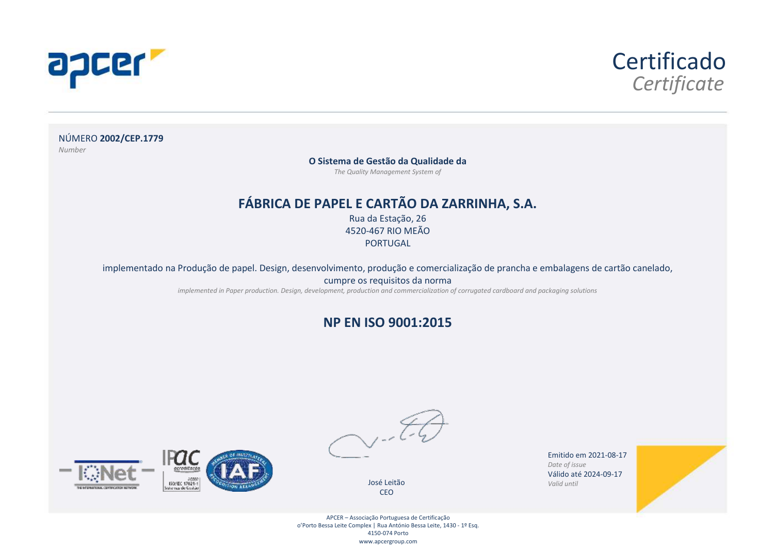



NÚMERO **2002/CEP.1779** *Number*

**O Sistema de Gestão da Qualidade da**

*The Quality Management System of*

#### **FÁBRICA DE PAPEL E CARTÃO DA ZARRINHA, S.A.**

Rua da Estação, 26 4520-467 RIO MEÃO **PORTUGAL** 

implementado na Produção de papel. Design, desenvolvimento, produção e comercialização de prancha e embalagens de cartão canelado,

cumpre os requisitos da norma

*implemented in Paper production. Design, development, production and commercialization of corrugated cardboard and packaging solutions*

#### **NP EN ISO 9001:2015**



José Leitão CEO

Emitido em 2021-08-17 *Date of issue* Válido até 2024-09-17 *Valid until*



APCER – Associação Portuguesa de Certificação o'Porto Bessa Leite Complex | Rua António Bessa Leite, 1430 - 1º Esq. 4150-074 Porto www.apcergroup.com